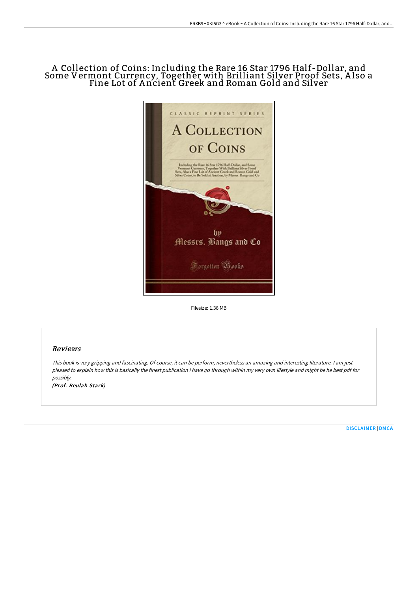# A Collection of Coins: Including the Rare 16 Star 1796 Half-Dollar, and Some Vermont Currency, Together with Brilliant Silver Proof Sets, A lso a Fine Lot of A ncient Greek and Roman Gold and Silver



Filesize: 1.36 MB

## Reviews

This book is very gripping and fascinating. Of course, it can be perform, nevertheless an amazing and interesting literature. <sup>I</sup> am just pleased to explain how this is basically the finest publication i have go through within my very own lifestyle and might be he best pdf for possibly.

(Prof. Beulah Stark)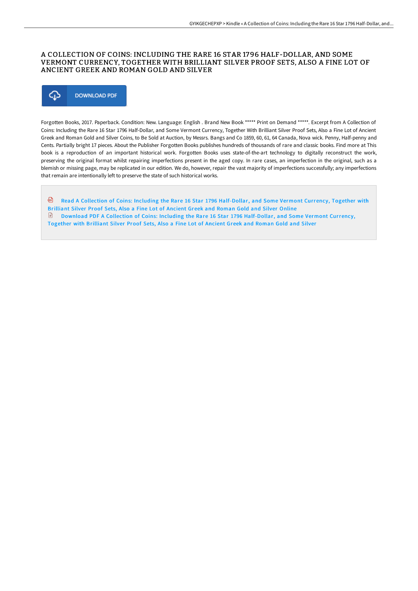### A COLLECTION OF COINS: INCLUDING THE RARE 16 STAR 1796 HALF-DOLLAR, AND SOME VERMONT CURRENCY, TOGETHER WITH BRILLIANT SILVER PROOF SETS, ALSO A FINE LOT OF ANCIENT GREEK AND ROMAN GOLD AND SILVER



Forgotten Books, 2017. Paperback. Condition: New. Language: English . Brand New Book \*\*\*\*\* Print on Demand \*\*\*\*\*. Excerpt from A Collection of Coins: Including the Rare 16 Star 1796 Half-Dollar, and Some Vermont Currency, Together With Brilliant Silver Proof Sets, Also a Fine Lot of Ancient Greek and Roman Gold and Silver Coins, to Be Sold at Auction, by Messrs. Bangs and Co 1859, 60, 61, 64 Canada, Nova wick. Penny, Half-penny and Cents. Partially bright 17 pieces. About the Publisher Forgotten Books publishes hundreds of thousands of rare and classic books. Find more at This book is a reproduction of an important historical work. Forgotten Books uses state-of-the-art technology to digitally reconstruct the work, preserving the original format whilst repairing imperfections present in the aged copy. In rare cases, an imperfection in the original, such as a blemish or missing page, may be replicated in our edition. We do, however, repair the vast majority of imperfections successfully; any imperfections that remain are intentionally left to preserve the state of such historical works.

品 Read A Collection of Coins: Including the Rare 16 Star 1796 [Half-Dollar,](http://bookera.tech/a-collection-of-coins-including-the-rare-16-star.html) and Some Vermont Currency, Together with Brilliant Silver Proof Sets, Also a Fine Lot of Ancient Greek and Roman Gold and Silver Online Download PDF A Collection of Coins: Including the Rare 16 Star 1796 [Half-Dollar,](http://bookera.tech/a-collection-of-coins-including-the-rare-16-star.html) and Some Vermont Currency, Together with Brilliant Silver Proof Sets, Also a Fine Lot of Ancient Greek and Roman Gold and Silver